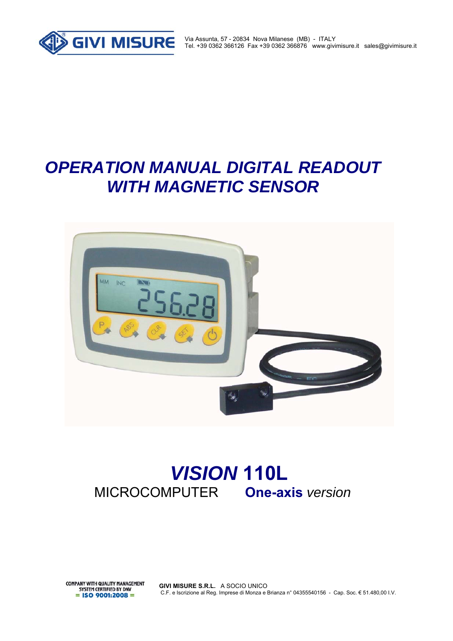

Via Assunta, 57 - 20834 Nova Milanese (MB) - ITALY Tel. +39 0362 366126 Fax +39 0362 366876 www.givimisure.it sales@givimisure.it

# *OPERATION MANUAL DIGITAL READOUT WITH MAGNETIC SENSOR*



# *VISION* **110L**MICROCOMPUTER **One-axis** *version*

**COMPANY WITH QUALITY MANAGEMENT** SYSTEM CERTIFIED BY DNV  $=$  ISO 9001:2008  $=$ 

**GIVI MISURE S.R.L.** A SOCIO UNICO C.F. e Iscrizione al Reg. Imprese di Monza e Brianza n° 04355540156 - Cap. Soc. € 51.480,00 I.V.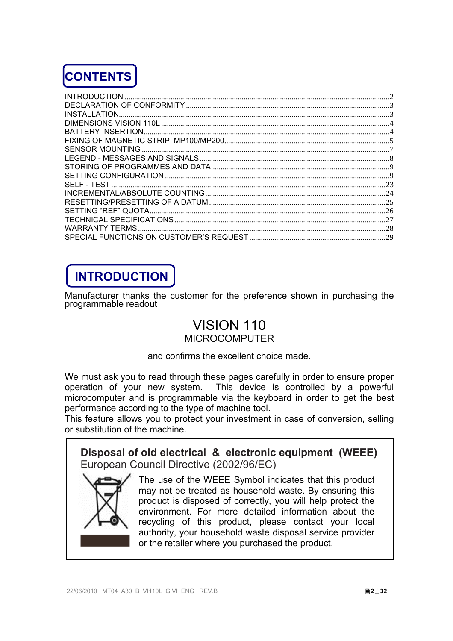

| <b>WARRANTY TERMS</b> |  |
|-----------------------|--|
|                       |  |

# **INTRODUCTION**

Manufacturer thanks the customer for the preference shown in purchasing the programmable readout

### VISION 110 **MICROCOMPUTER**

and confirms the excellent choice made.

We must ask you to read through these pages carefully in order to ensure proper operation of your new system. This device is controlled by a powerful microcomputer and is programmable via the keyboard in order to get the best performance according to the type of machine tool.

This feature allows you to protect your investment in case of conversion, selling or substitution of the machine.

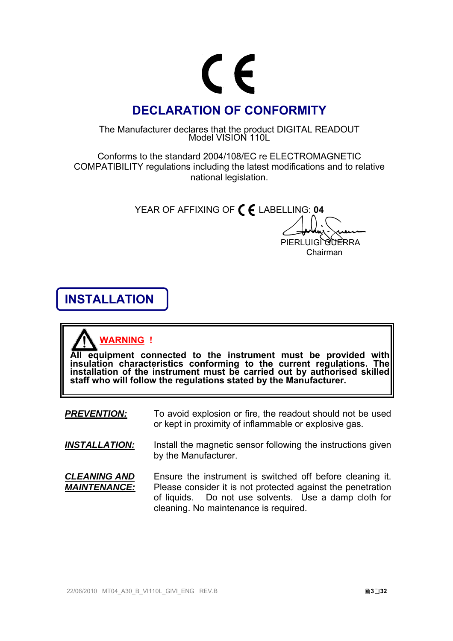

### **DECLARATION OF CONFORMITY**

The Manufacturer declares that the product DIGITAL READOUT Model VISION 110L

Conforms to the standard 2004/108/EC re ELECTROMAGNETIC COMPATIBILITY regulations including the latest modifications and to relative national legislation.

YEAR OF AFFIXING OF **C** E LABELLING: 04

PIERLUIGI GUERRA Chairman

# **INSTALLATION**

# **WARNING !**

**All equipment connected to the instrument must be provided with**  insulation characteristics conforming to the current regulations. The<br>installation of the instrument must be carried out by authorised skilled<br>staff who will follow the regulations stated by the Manufacturer.

- **PREVENTION:** To avoid explosion or fire, the readout should not be used or kept in proximity of inflammable or explosive gas.
- **INSTALLATION:** Install the magnetic sensor following the instructions given by the Manufacturer.
- *CLEANING AND MAINTENANCE:*  Ensure the instrument is switched off before cleaning it. Please consider it is not protected against the penetration of liquids. Do not use solvents. Use a damp cloth for cleaning. No maintenance is required.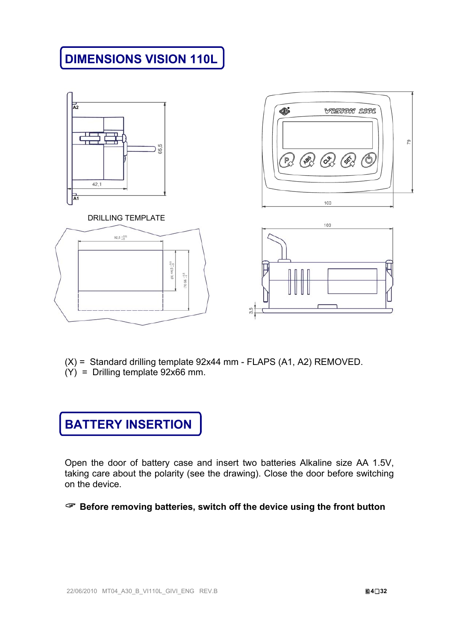# **DIMENSIONS VISION 110L**





### DRILLING TEMPLATE





- (X) = Standard drilling template 92x44 mm FLAPS (A1, A2) REMOVED.
- (Y) = Drilling template 92x66 mm.



Open the door of battery case and insert two batteries Alkaline size AA 1.5V, taking care about the polarity (see the drawing). Close the door before switching on the device.

**Before removing batteries, switch off the device using the front button**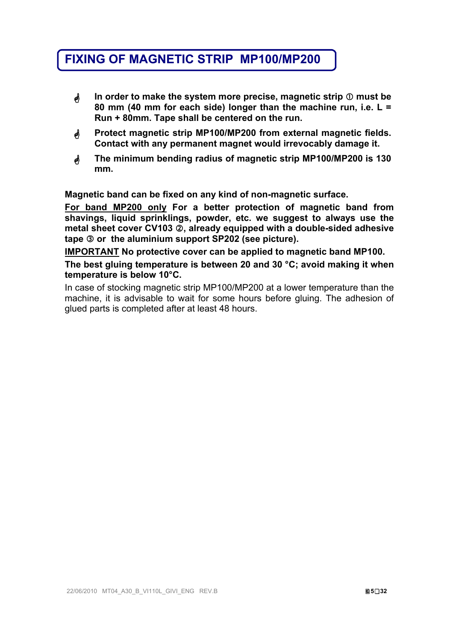### **FIXING OF MAGNETIC STRIP MP100/MP200**

- **In order to make the system more precise, magnetic strip**  $\textcircled{}$  **must be 80 mm (40 mm for each side) longer than the machine run, i.e. L = Run + 80mm. Tape shall be centered on the run.**
- **Protect magnetic strip MP100/MP200 from external magnetic fields. Contact with any permanent magnet would irrevocably damage it.**
- **The minimum bending radius of magnetic strip MP100/MP200 is 130 mm.**

**Magnetic band can be fixed on any kind of non-magnetic surface.** 

**For band MP200 only For a better protection of magnetic band from shavings, liquid sprinklings, powder, etc. we suggest to always use the metal sheet cover CV103 , already equipped with a double-sided adhesive tape or the aluminium support SP202 (see picture).** 

**IMPORTANT No protective cover can be applied to magnetic band MP100.** 

**The best gluing temperature is between 20 and 30 °C; avoid making it when temperature is below 10°C.** 

In case of stocking magnetic strip MP100/MP200 at a lower temperature than the machine, it is advisable to wait for some hours before gluing. The adhesion of glued parts is completed after at least 48 hours.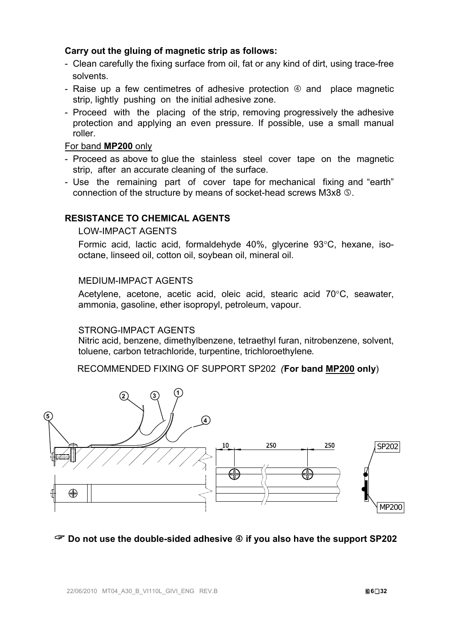### **Carry out the gluing of magnetic strip as follows:**

- Clean carefully the fixing surface from oil, fat or any kind of dirt, using trace-free solvents.
- Raise up a few centimetres of adhesive protection  $\Phi$  and place magnetic strip, lightly pushing on the initial adhesive zone.
- Proceed with the placing of the strip, removing progressively the adhesive protection and applying an even pressure. If possible, use a small manual roller.

### For band **MP200** only

- Proceed as above to glue the stainless steel cover tape on the magnetic strip, after an accurate cleaning of the surface.
- Use the remaining part of cover tape for mechanical fixing and "earth" connection of the structure by means of socket-head screws M3x8 **.**.

### **RESISTANCE TO CHEMICAL AGENTS**

### LOW-IMPACT AGENTS

Formic acid, lactic acid, formaldehyde 40%, glycerine 93°C, hexane, isooctane, linseed oil, cotton oil, soybean oil, mineral oil.

### MEDIUM-IMPACT AGENTS

Acetylene, acetone, acetic acid, oleic acid, stearic acid 70°C. seawater. ammonia, gasoline, ether isopropyl, petroleum, vapour.

#### STRONG-IMPACT AGENTS

Nitric acid, benzene, dimethylbenzene, tetraethyl furan, nitrobenzene, solvent, toluene, carbon tetrachloride, turpentine, trichloroethylene*.*

RECOMMENDED FIXING OF SUPPORT SP202 *(***For band MP200 only**)



### **Do not use the double-sided adhesive if you also have the support SP202**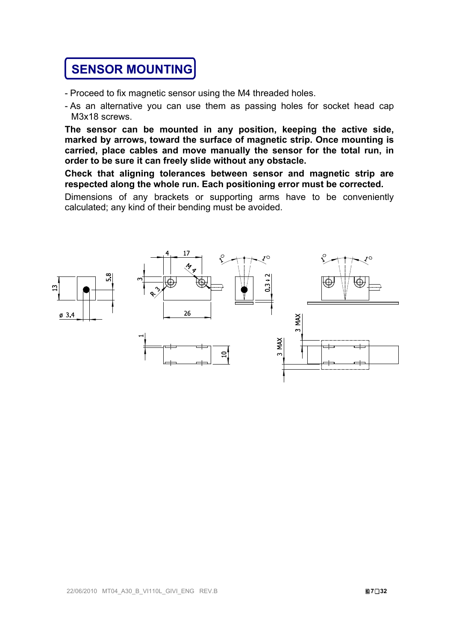# **SENSOR MOUNTING**

- Proceed to fix magnetic sensor using the M4 threaded holes.
- As an alternative you can use them as passing holes for socket head cap M3x18 screws.

**The sensor can be mounted in any position, keeping the active side, marked by arrows, toward the surface of magnetic strip. Once mounting is carried, place cables and move manually the sensor for the total run, in order to be sure it can freely slide without any obstacle.** 

**Check that aligning tolerances between sensor and magnetic strip are respected along the whole run. Each positioning error must be corrected.** 

Dimensions of any brackets or supporting arms have to be conveniently calculated; any kind of their bending must be avoided.

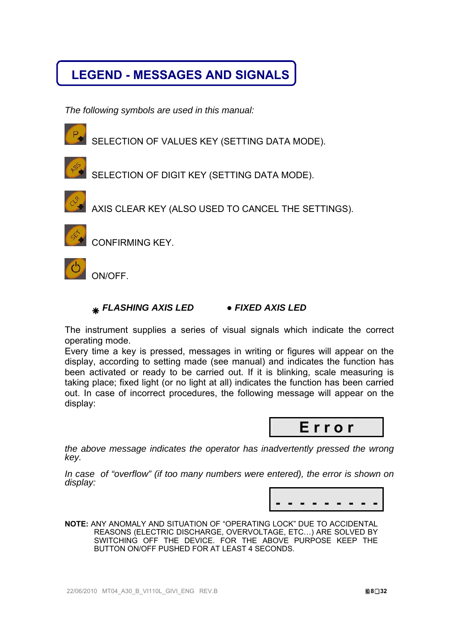## **LEGEND - MESSAGES AND SIGNALS**

*The following symbols are used in this manual:* 



SELECTION OF VALUES KEY (SETTING DATA MODE).



SELECTION OF DIGIT KEY (SETTING DATA MODE).



AXIS CLEAR KEY (ALSO USED TO CANCEL THE SETTINGS).



CONFIRMING KEY.

ON/OFF.

### *FLASHING AXIS LED* **●** *FIXED AXIS LED*

The instrument supplies a series of visual signals which indicate the correct operating mode.

Every time a key is pressed, messages in writing or figures will appear on the display, according to setting made (see manual) and indicates the function has been activated or ready to be carried out. If it is blinking, scale measuring is taking place; fixed light (or no light at all) indicates the function has been carried out. In case of incorrect procedures, the following message will appear on the display:



*the above message indicates the operator has inadvertently pressed the wrong key.* 

*In case of "overflow" (if too many numbers were entered), the error is shown on display:* 



**NOTE:** ANY ANOMALY AND SITUATION OF "OPERATING LOCK" DUE TO ACCIDENTAL REASONS (ELECTRIC DISCHARGE, OVERVOLTAGE, ETC…) ARE SOLVED BY SWITCHING OFF THE DEVICE. FOR THE ABOVE PURPOSE KEEP THE BUTTON ON/OFF PUSHED FOR AT LEAST 4 SECONDS.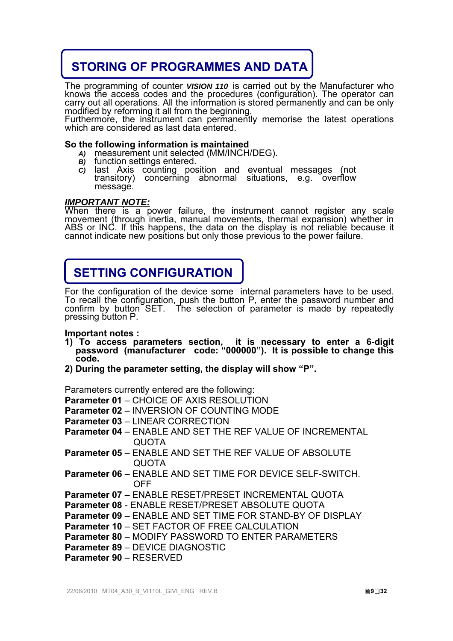## **STORING OF PROGRAMMES AND DATA**

The programming of counter *VISION 110* is carried out by the Manufacturer who knows the access codes and the procedures (configuration). The operator can carry out all operations. All the information is stored permanently

### **So the following information is maintained**

- *A)* measurement unit selected (MM/INCH/DEG).
- *B)* function settings entered.
- c) last Axis counting position and eventual messages (not transitory) concerning abnormal situations, e.g. overflow message.

### *IMPORTANT NOTE:*

When there is a power failure, the instrument cannot register any scale<br>movement (through inertia, manual movements, thermal expansion) whether in<br>ABS or INC. If this happens, the data on the display is not reliable becaus

## **SETTING CONFIGURATION**

For the configuration of the device some internal parameters have to be used.<br>To recall the configuration, push the button P, enter the password number and confirm by button SET. The selection of parameter is made by repea

**Important notes :** 

ŕ

- **1) To access parameters section, it is necessary to enter a 6-digit password (manufacturer code: "000000"). It is possible to change this code.**
- **2) During the parameter setting, the display will show "P".**

Parameters currently entered are the following:

**Parameter 01** – CHOICE OF AXIS RESOLUTION

**Parameter 02** – INVERSION OF COUNTING MODE

- **Parameter 03** LINEAR CORRECTION
- **Parameter 04** ENABLE AND SET THE REF VALUE OF INCREMENTAL QUOTA
- **Parameter 05** ENABLE AND SET THE REF VALUE OF ABSOLUTE QUOTA
- **Parameter 06** ENABLE AND SET TIME FOR DEVICE SELF-SWITCH. **OFF**
- **Parameter 07** ENABLE RESET/PRESET INCREMENTAL QUOTA

**Parameter 08** - ENABLE RESET/PRESET ABSOLUTE QUOTA

- **Parameter 09** ENABLE AND SET TIME FOR STAND-BY OF DISPLAY
- **Parameter 10** SET FACTOR OF FREE CALCULATION

**Parameter 80** – MODIFY PASSWORD TO ENTER PARAMETERS

**Parameter 89** – DEVICE DIAGNOSTIC

**Parameter 90** – RESERVED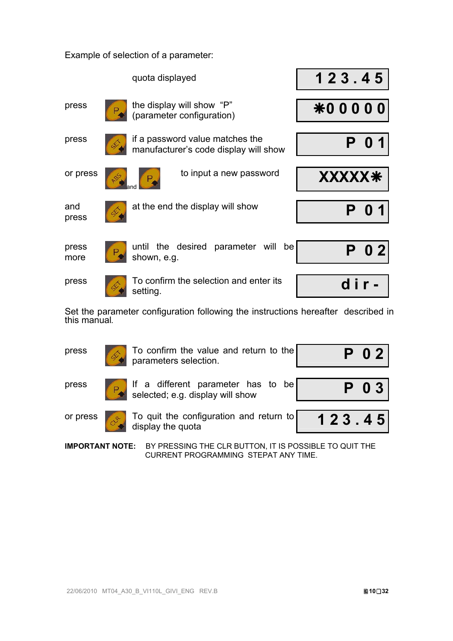Example of selection of a parameter:

|               |    | quota displayed                                                          | 123.45         |
|---------------|----|--------------------------------------------------------------------------|----------------|
| press         |    | the display will show "P"<br>(parameter configuration)                   | <b>*00000</b>  |
| press         |    | if a password value matches the<br>manufacturer's code display will show |                |
| or press      |    | to input a new password                                                  | <b>XXXXX*</b>  |
| and<br>press  | Ŀ. | at the end the display will show                                         |                |
| press<br>more |    | until the desired parameter will<br>be<br>shown, e.g.                    | 0 <sub>2</sub> |
| press         |    | To confirm the selection and enter its<br>setting.                       |                |

Set the parameter configuration following the instructions hereafter described in this manual*.* 

| press    | $\bullet$ To confirm the value and return to the parameters selection. | P 0 2 I |
|----------|------------------------------------------------------------------------|---------|
| press    | If a different parameter has to be<br>selected; e.g. display will show | $P$ 0 3 |
| or press | $\vert$ To quit the configuration and return to $\vert$                | 123.45  |

**IMPORTANT NOTE:** BY PRESSING THE CLR BUTTON, IT IS POSSIBLE TO QUIT THE CURRENT PROGRAMMING STEPAT ANY TIME.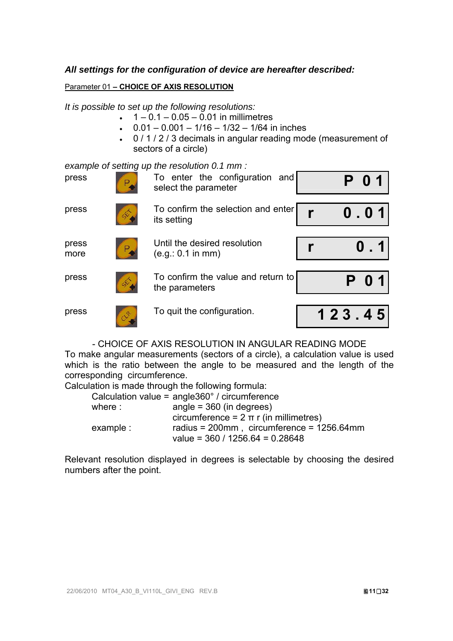### *All settings for the configuration of device are hereafter described:*

### Parameter 01 **– CHOICE OF AXIS RESOLUTION**

*It is possible to set up the following resolutions:* 

- $\cdot$  1 0.1 0.05 0.01 in millimetres
- $\cdot$  0.01 0.001 1/16 1/32 1/64 in inches
- 0 / 1 / 2 / 3 decimals in angular reading mode (measurement of sectors of a circle)

*example of setting up the resolution 0.1 mm :* 

| press         | Р. | To enter the configuration and<br>select the parameter |        |
|---------------|----|--------------------------------------------------------|--------|
| press         | D. | To confirm the selection and enter<br>its setting      | 0.01   |
| press<br>more | Р. | Until the desired resolution<br>(e.g.: 0.1 in mm)      |        |
| press         | Ė. | To confirm the value and return to<br>the parameters   | P 0 1  |
| press         | CR | To quit the configuration.                             | 123.45 |

- CHOICE OF AXIS RESOLUTION IN ANGULAR READING MODE

To make angular measurements (sectors of a circle), a calculation value is used which is the ratio between the angle to be measured and the length of the corresponding circumference.

Calculation is made through the following formula:

| Calculation value = angle360° / circumference                                  |
|--------------------------------------------------------------------------------|
| angle = $360$ (in degrees)                                                     |
| circumference = $2 \pi r$ (in millimetres)                                     |
| radius = 200mm, circumference = 1256.64mm<br>value = $360 / 1256.64 = 0.28648$ |
|                                                                                |

Relevant resolution displayed in degrees is selectable by choosing the desired numbers after the point.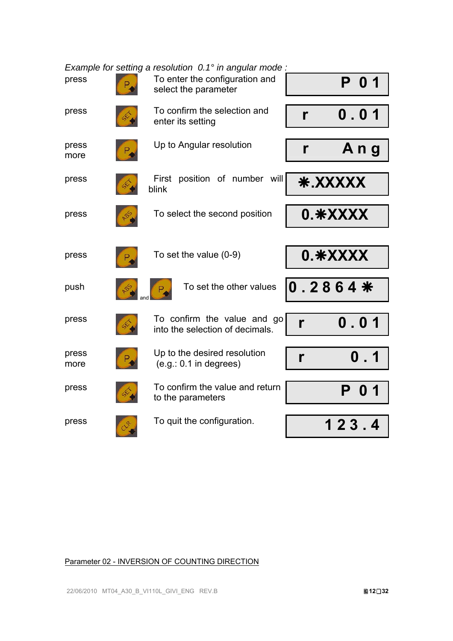|               | Example for setting a resolution $0.1^\circ$ in angular mode : |                                  |
|---------------|----------------------------------------------------------------|----------------------------------|
| press         | To enter the configuration and<br>select the parameter         | P<br>0 <sub>1</sub>              |
| press         | To confirm the selection and<br>enter its setting              | $\mathbf 0$ . $\mathbf 0$ 1<br>r |
| press<br>more | Up to Angular resolution                                       | Ang<br>$\mathbf{r}$              |
| press         | First position of number will<br>blink                         | * XXXXX                          |
| press         | To select the second position                                  | 0.*XXXX                          |
|               |                                                                |                                  |
| press         | To set the value $(0-9)$                                       | 0.*XXXX                          |
| push          | To set the other values                                        | $0.2864*$                        |
| press         | To confirm the value and go<br>into the selection of decimals. | $\mathbf 0$ , $\mathbf 0$ 1<br>r |
| press<br>more | Up to the desired resolution<br>$(e.g.: 0.1$ in degrees)       | 0.1<br>r                         |
| press         | To confirm the value and return<br>to the parameters           | Р<br>O                           |
| press         | To quit the configuration.                                     | 123.4                            |

Parameter 02 - INVERSION OF COUNTING DIRECTION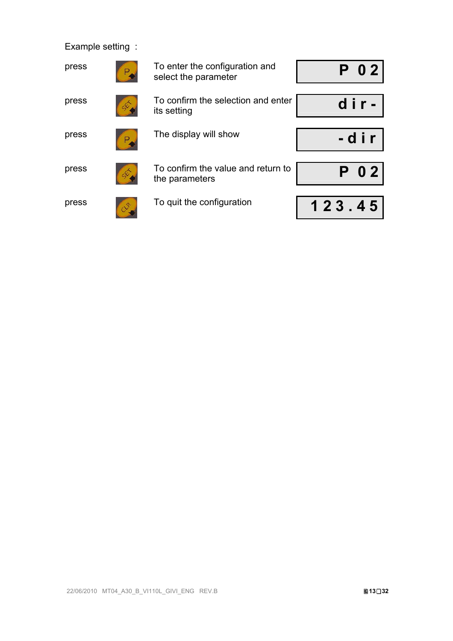Example setting :

| press<br>P  | To enter the configuration and<br>select the parameter | P 0 2  |
|-------------|--------------------------------------------------------|--------|
|             |                                                        |        |
| press       | To confirm the selection and enter<br>its setting      | dir-   |
|             |                                                        |        |
| press       | The display will show                                  | -dir   |
|             |                                                        |        |
| press<br>Đ  | To confirm the value and return to<br>the parameters   | P 0 2  |
|             |                                                        |        |
| press<br>28 | To quit the configuration                              | 123.45 |
|             |                                                        |        |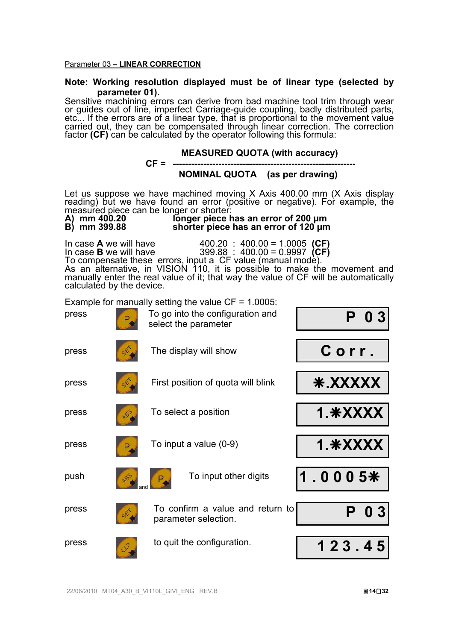#### Parameter 03 **– LINEAR CORRECTION**

# **Note: Working resolution displayed must be of linear type (selected by**

**parameter 01).**<br>Sensitive machining errors can derive from bad machine tool trim through wear or guides out of line, imperfect Carriage-guide coupling, badly distributed parts,<br>etc... If the errors are of a linear type, that is proportional to the movement value carried out, they can be compensated through linear correction. The correction factor **(CF)** can be calculated by the operator following this formula:



press to quit the configuration. **1 2 3 . 4 5**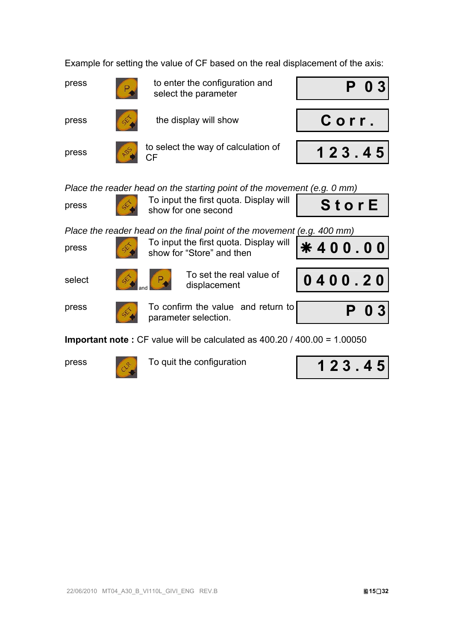Example for setting the value of CF based on the real displacement of the axis:

press to enter the configuration and **P 0 3**<br>
select the parameter

press to select the way of calculation of



Stor E

\* 400.00

*Place the reader head on the starting point of the movement (e.g. 0 mm)* 

press To input the first quota. Display will<br>show for one second

*Place the reader head on the final point of the movement (e.g. 400 mm)* 

press To input the first quota. Display will<br>show for "Store" and then





To set the real value of displacement **0 4 0 0 . 2 0**



press To confirm the value and return to **P 0 3** parameter selection.

**Important note :** CF value will be calculated as 400.20 / 400.00 = 1.00050



press To quit the configuration

| 123.45 |
|--------|
|--------|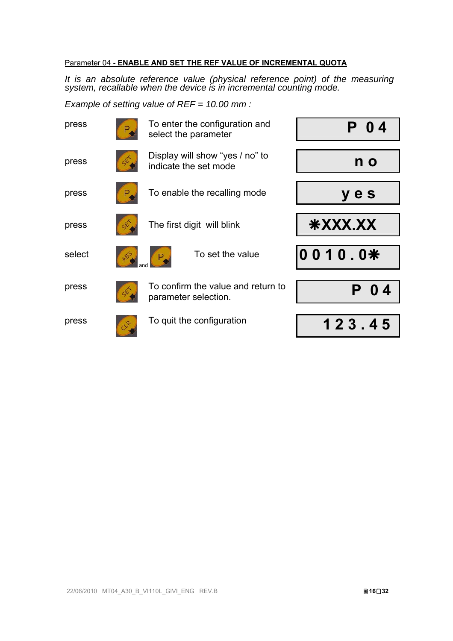### Parameter 04 **- ENABLE AND SET THE REF VALUE OF INCREMENTAL QUOTA**

*It is an absolute reference value (physical reference point) of the measuring system, recallable when the device is in incremental counting mode.* 

*Example of setting value of REF = 10.00 mm :* 

| press  |    | To enter the configuration and<br>select the parameter     |            |
|--------|----|------------------------------------------------------------|------------|
| press  |    | Display will show "yes / no" to<br>indicate the set mode   | n o        |
| press  |    | To enable the recalling mode                               | y e s      |
| press  |    | The first digit will blink                                 | *XXX.XX    |
| select |    | To set the value                                           | 0010.0*    |
| press  |    | To confirm the value and return to<br>parameter selection. | $\bf{0}$ 4 |
| press  | LE | To quit the configuration                                  | 123.45     |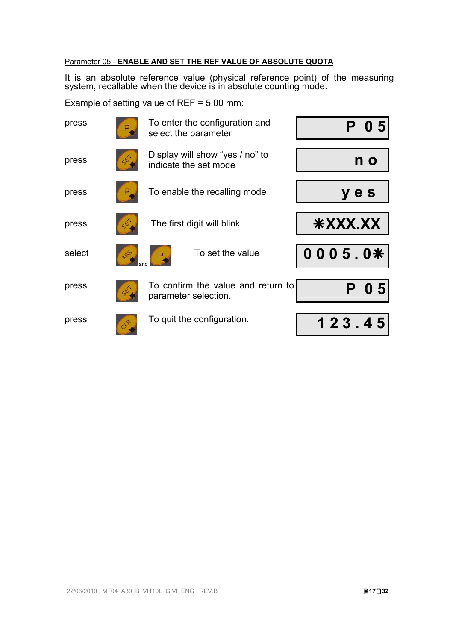### Parameter 05 - **ENABLE AND SET THE REF VALUE OF ABSOLUTE QUOTA**

It is an absolute reference value (physical reference point) of the measuring system, recallable when the device is in absolute counting mode.

Example of setting value of REF = 5.00 mm:

| press  |     | To enter the configuration and<br>select the parameter     | Û              |
|--------|-----|------------------------------------------------------------|----------------|
| press  |     | Display will show "yes / no" to<br>indicate the set mode   | n o            |
| press  |     | To enable the recalling mode                               | y e s          |
| press  |     | The first digit will blink                                 | *XXX.XX        |
| select | 800 | To set the value                                           | $0005.0*$      |
| press  | Q   | To confirm the value and return to<br>parameter selection. | 0 <sub>5</sub> |
| press  |     | To quit the configuration.                                 | 123.45         |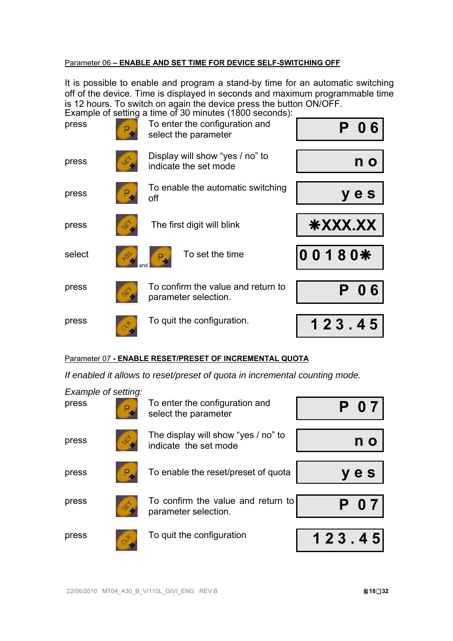### Parameter 06 **– ENABLE AND SET TIME FOR DEVICE SELF-SWITCHING OFF**

It is possible to enable and program a stand-by time for an automatic switching off of the device. Time is displayed in seconds and maximum programmable time is 12 hours. To switch on again the device press the button ON/OFF.

| press  |    | Example of setting a time of 30 minutes (1800 seconds):<br>To enter the configuration and<br>select the parameter |         |
|--------|----|-------------------------------------------------------------------------------------------------------------------|---------|
| press  |    | Display will show "yes / no" to<br>indicate the set mode                                                          | n o     |
| press  |    | To enable the automatic switching<br>off                                                                          | y e s   |
| press  |    | The first digit will blink                                                                                        | *XXX.XX |
| select | ళ  | To set the time                                                                                                   | 00180*  |
| press  |    | To confirm the value and return to<br>parameter selection.                                                        | 6<br>0  |
| press  | 28 | To quit the configuration.                                                                                        | 123.45  |

### Parameter 07 **- ENABLE RESET/PRESET OF INCREMENTAL QUOTA**

*If enabled it allows to reset/preset of quota in incremental counting mode.* 

| Example of setting:<br>press | To enter the configuration and<br>select the parameter       | $\overline{0}$ 7 |
|------------------------------|--------------------------------------------------------------|------------------|
| press                        | The display will show "yes / no" to<br>indicate the set mode |                  |
| press                        | To enable the reset/preset of quota                          | e s              |
| press                        | To confirm the value and return to<br>parameter selection.   | P 07             |
| press                        | To quit the configuration                                    | 123.45           |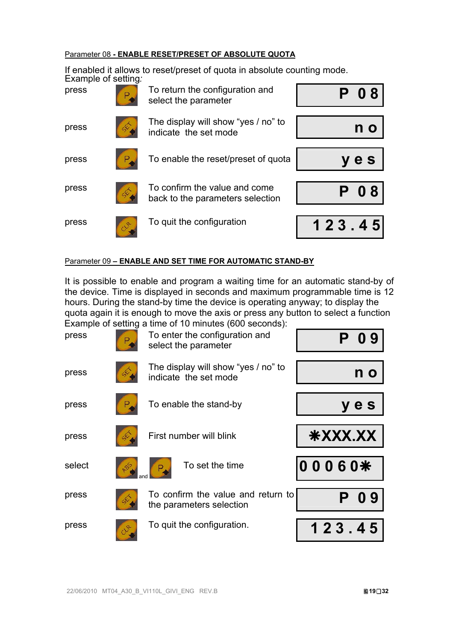### Parameter 08 **- ENABLE RESET/PRESET OF ABSOLUTE QUOTA**

If enabled it allows to reset/preset of quota in absolute counting mode. Example of setting*:*

| press         | To return the configuration and<br>select the parameter           |        |
|---------------|-------------------------------------------------------------------|--------|
| c\$.<br>press | The display will show "yes / no" to<br>indicate the set mode      |        |
| press         | To enable the reset/preset of quota                               | e s    |
| press         | To confirm the value and come<br>back to the parameters selection |        |
| press<br>of   | To quit the configuration                                         | 123.45 |

### Parameter 09 **– ENABLE AND SET TIME FOR AUTOMATIC STAND-BY**

It is possible to enable and program a waiting time for an automatic stand-by of the device. Time is displayed in seconds and maximum programmable time is 12 hours. During the stand-by time the device is operating anyway; to display the quota again it is enough to move the axis or press any button to select a function Example of setting a time of 10 minutes (600 seconds):

| press  | Р. | To enter the configuration and<br>select the parameter         |         |
|--------|----|----------------------------------------------------------------|---------|
| press  |    | The display will show "yes / no" to<br>indicate the set mode   | n o     |
| press  |    | To enable the stand-by                                         | y e s   |
| press  |    | First number will blink                                        | *XXX.XX |
| select | ళి | To set the time                                                | 00060*  |
| press  |    | To confirm the value and return to<br>the parameters selection | -9<br>Û |
| press  | RR | To quit the configuration.                                     | 123.45  |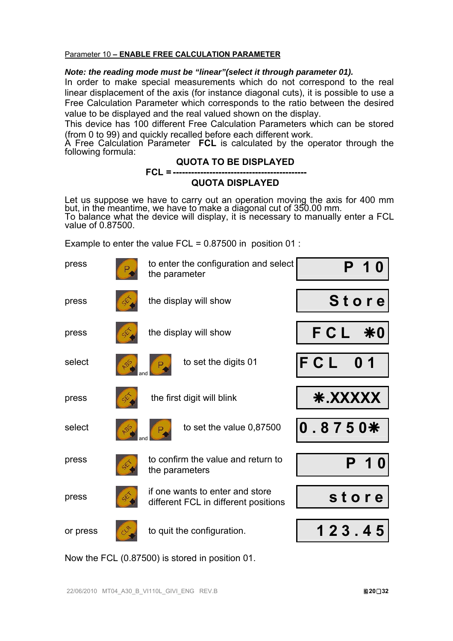### Parameter 10 **– ENABLE FREE CALCULATION PARAMETER**

### *Note: the reading mode must be "linear"(select it through parameter 01).*

In order to make special measurements which do not correspond to the real linear displacement of the axis (for instance diagonal cuts), it is possible to use a Free Calculation Parameter which corresponds to the ratio between the desired value to be displayed and the real valued shown on the display.

This device has 100 different Free Calculation Parameters which can be stored (from 0 to 99) and quickly recalled before each different work.

A Free Calculation Parameter **FCL** is calculated by the operator through the following formula:

### **QUOTA TO BE DISPLAYED**

### **FCL = -------------------------------------------- QUOTA DISPLAYED**

Let us suppose we have to carry out an operation moving the axis for 400 mm<br>but, in the meantime, we have to make a diagonal cut of 350.00 mm.<br>To balance what the device will display, it is necessary to manually enter a FC

Example to enter the value FCL =  $0.87500$  in position 01 :

| press    | to enter the configuration and select<br>the parameter                  |                       |
|----------|-------------------------------------------------------------------------|-----------------------|
| press    | the display will show                                                   | <b>Store</b>          |
| press    | the display will show                                                   | FCL<br>$*0$           |
| select   | to set the digits 01                                                    | FCL<br>0 <sub>1</sub> |
| press    | the first digit will blink                                              | <b>* XXXXX</b>        |
| select   | to set the value 0,87500                                                | $0.8750*$             |
| press    | to confirm the value and return to<br>the parameters                    |                       |
| press    | if one wants to enter and store<br>different FCL in different positions | store                 |
| or press | to quit the configuration.                                              | 123.45                |

Now the FCL (0.87500) is stored in position 01.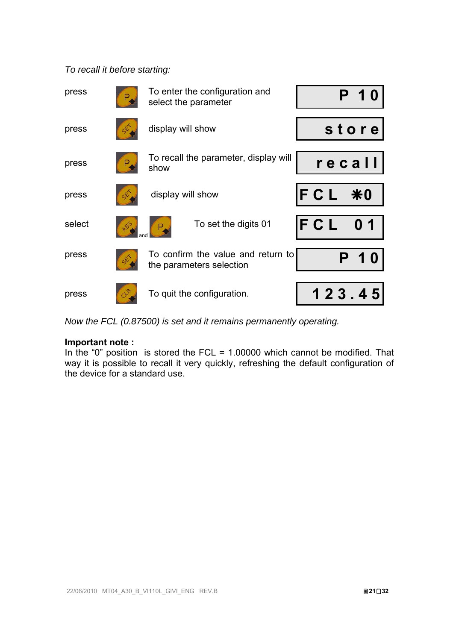### *To recall it before starting:*

| press  | To enter the configuration and<br>select the parameter         |        |
|--------|----------------------------------------------------------------|--------|
| press  | display will show                                              | store  |
| press  | To recall the parameter, display will<br>show                  | recall |
| press  | display will show                                              | FCL *0 |
| select | To set the digits 01                                           | FCL    |
| press  | To confirm the value and return to<br>the parameters selection |        |
| press  | To quit the configuration.                                     | 123.45 |

*Now the FCL (0.87500) is set and it remains permanently operating.* 

### **Important note :**

In the "0" position is stored the FCL =  $1.00000$  which cannot be modified. That way it is possible to recall it very quickly, refreshing the default configuration of the device for a standard use.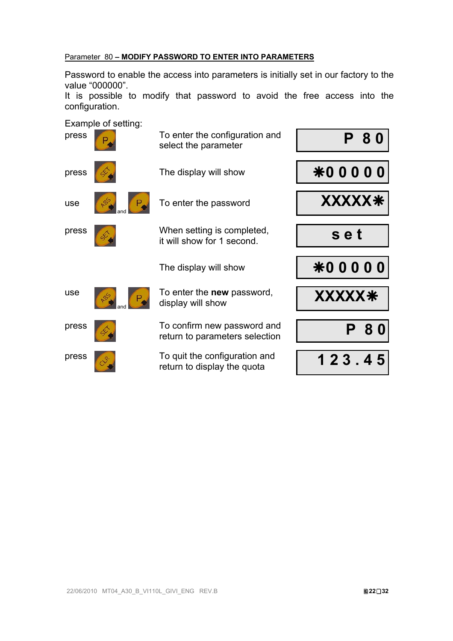### Parameter 80 **– MODIFY PASSWORD TO ENTER INTO PARAMETERS**

Password to enable the access into parameters is initially set in our factory to the value "000000".

It is possible to modify that password to avoid the free access into the configuration.

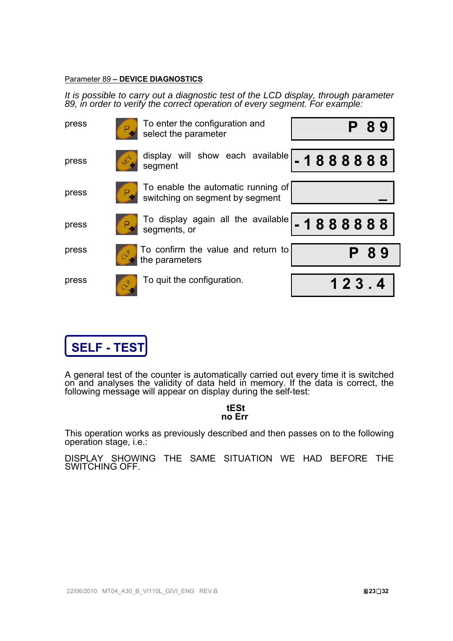#### Parameter 89 **– DEVICE DIAGNOSTICS**

*It is possible to carry out a diagnostic test of the LCD display, through parameter 89, in order to verify the correct operation of every segment. For example:* 

| press | To enter the configuration and<br>select the parameter                |  |       | 89 |
|-------|-----------------------------------------------------------------------|--|-------|----|
| press | display will show each available $\vert$ - 1 8 8 8 8 8 8<br>segment   |  |       |    |
| press | To enable the automatic running of<br>switching on segment by segment |  |       |    |
| press |                                                                       |  |       |    |
| press | To confirm the value and return to<br>the parameters                  |  |       | 89 |
| press | To quit the configuration.                                            |  | 123.4 |    |



A general test of the counter is automatically carried out every time it is switched on and analyses the validity of data held in memory. If the data is correct, the following message will appear on display during the self

### **tESt no Err**

This operation works as previously described and then passes on to the following operation stage, i.e.:

DISPLAY SHOWING THE SAME SITUATION WE HAD BEFORE THE SWITCHING OFF.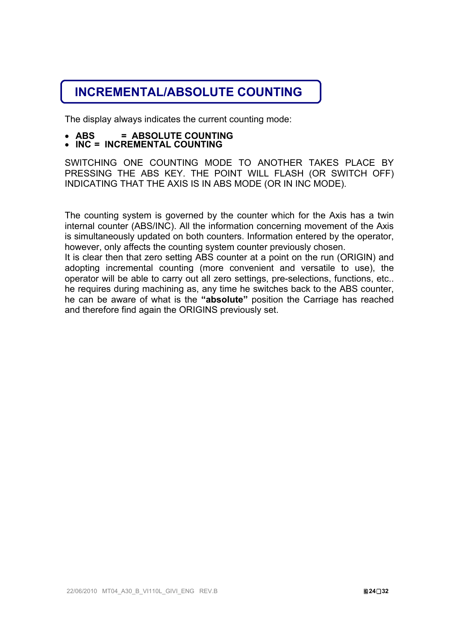## **INCREMENTAL/ABSOLUTE COUNTING**

The display always indicates the current counting mode:

- **ABS = ABSOLUTE COUNTING INC = INCREMENTAL COUNTING**
- 

SWITCHING ONE COUNTING MODE TO ANOTHER TAKES PLACE BY PRESSING THE ABS KEY. THE POINT WILL FLASH (OR SWITCH OFF) INDICATING THAT THE AXIS IS IN ABS MODE (OR IN INC MODE).

The counting system is governed by the counter which for the Axis has a twin internal counter (ABS/INC). All the information concerning movement of the Axis is simultaneously updated on both counters. Information entered by the operator, however, only affects the counting system counter previously chosen.

It is clear then that zero setting ABS counter at a point on the run (ORIGIN) and adopting incremental counting (more convenient and versatile to use), the operator will be able to carry out all zero settings, pre-selections, functions, etc.. he requires during machining as, any time he switches back to the ABS counter, he can be aware of what is the **"absolute"** position the Carriage has reached and therefore find again the ORIGINS previously set.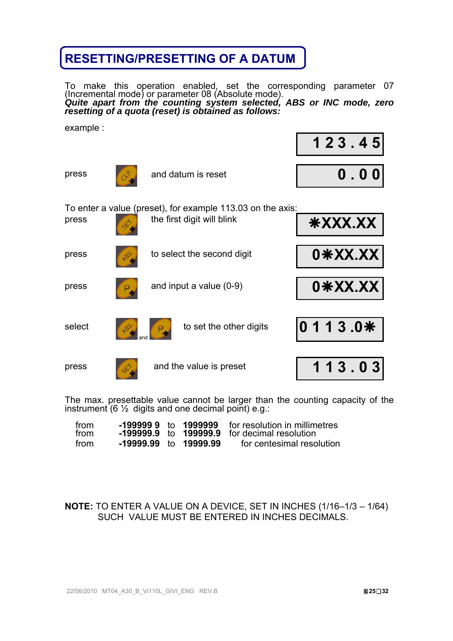## **RESETTING/PRESETTING OF A DATUM**

To make this operation enabled, set the corresponding parameter 07<br>(Incremental mode) or parameter 08 (Absolute mode).<br>*Quite apart from the counting system selected, ABS or INC mode, zero resetting of a quota (reset) is obtained as follows:* 

example :

|        |                                                                                          | 123.45         |
|--------|------------------------------------------------------------------------------------------|----------------|
| press  | and datum is reset                                                                       | 0.00           |
| press  | To enter a value (preset), for example 113.03 on the axis:<br>the first digit will blink | <b>XX.XXX*</b> |
| press  | to select the second digit<br>S                                                          | 0*XX.XX        |
| press  | and input a value $(0-9)$                                                                | 0*XX.XX        |
| select | to set the other digits                                                                  | 0113.0*        |
| press  | and the value is preset                                                                  | 113.03         |

The max. presettable value cannot be larger than the counting capacity of the instrument (6  $\frac{1}{2}$  digits and one decimal point) e.g.:

| from<br>from |                              |  | <b>-199999 9</b> to 1999999 for resolution in millimetres<br>$-199999.9$ to $199999.9$ for decimal resolution |
|--------------|------------------------------|--|---------------------------------------------------------------------------------------------------------------|
|              |                              |  |                                                                                                               |
| from         | <b>-19999.99</b> to 19999.99 |  | for centesimal resolution                                                                                     |

### **NOTE:** TO ENTER A VALUE ON A DEVICE, SET IN INCHES (1/16–1/3 – 1/64) SUCH VALUE MUST BE ENTERED IN INCHES DECIMALS.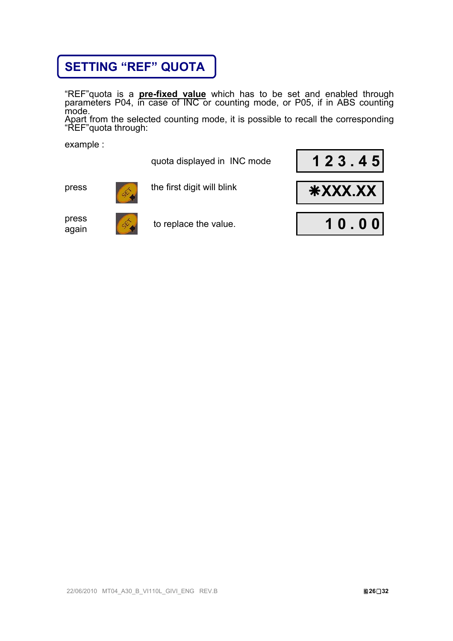## **SETTING "REF" QUOTA**

"REF"quota is a **pre-fixed value** which has to be set and enabled through parameters P04, in case of INC or counting mode, or P05, if in ABS counting mode.

Apart from the selected counting mode, it is possible to recall the corresponding "REF"quota through:

example :





press



press again to replace the value. **10.00** 

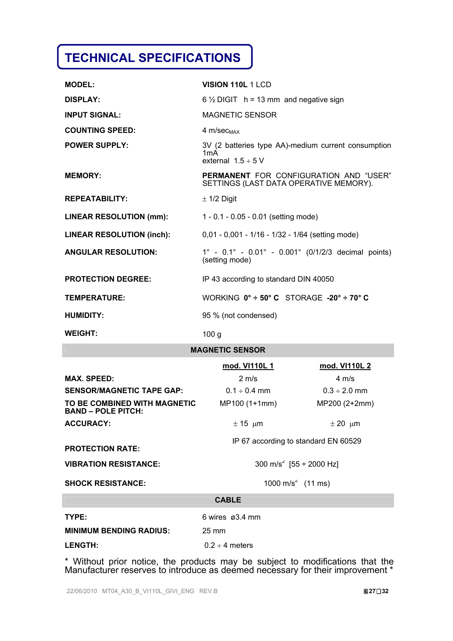# **TECHNICAL SPECIFICATIONS**

| <b>MODEL:</b>                    | <b>VISION 110L 1 LCD</b>                                                                |
|----------------------------------|-----------------------------------------------------------------------------------------|
| <b>DISPLAY:</b>                  | $6\frac{1}{2}$ DIGIT h = 13 mm and negative sign                                        |
| <b>INPUT SIGNAL:</b>             | <b>MAGNETIC SENSOR</b>                                                                  |
| <b>COUNTING SPEED:</b>           | $4 m/sec_{MAX}$                                                                         |
| <b>POWER SUPPLY:</b>             | 3V (2 batteries type AA)-medium current consumption<br>1mA<br>external $1.5 \div 5$ V   |
| <b>MEMORY:</b>                   | <b>PERMANENT FOR CONFIGURATION AND "USER"</b><br>SETTINGS (LAST DATA OPERATIVE MEMORY). |
| <b>REPEATABILITY:</b>            | $\pm$ 1/2 Digit                                                                         |
| <b>LINEAR RESOLUTION (mm):</b>   | 1 - $0.1 - 0.05 - 0.01$ (setting mode)                                                  |
| <b>LINEAR RESOLUTION (inch):</b> | 0,01 - 0,001 - 1/16 - 1/32 - 1/64 (setting mode)                                        |
| <b>ANGULAR RESOLUTION:</b>       | $1^{\circ}$ - 0.1° - 0.01° - 0.001° (0/1/2/3 decimal points)<br>(setting mode)          |
| <b>PROTECTION DEGREE:</b>        | IP 43 according to standard DIN 40050                                                   |
| TEMPERATURE:                     | WORKING $0^\circ \div 50^\circ$ C STORAGE -20° $\div 70^\circ$ C                        |
| <b>HUMIDITY:</b>                 | 95 % (not condensed)                                                                    |
| <b>WEIGHT:</b>                   | 100 <sub>g</sub>                                                                        |

### **MAGNETIC SENSOR**

|                                                           | mod. VI110L 1                        | mod. VI110L 2                 |  |  |
|-----------------------------------------------------------|--------------------------------------|-------------------------------|--|--|
| <b>MAX. SPEED:</b>                                        | $2 \text{ m/s}$                      | $4 \text{ m/s}$               |  |  |
| <b>SENSOR/MAGNETIC TAPE GAP:</b>                          | $0.1 \div 0.4$ mm                    | $0.3 \div 2.0$ mm             |  |  |
| TO BE COMBINED WITH MAGNETIC<br><b>BAND - POLE PITCH:</b> | MP100 (1+1mm)                        | MP200 (2+2mm)                 |  |  |
| <b>ACCURACY:</b>                                          | $\pm$ 15 µm                          | $\pm 20 \mu m$                |  |  |
|                                                           | IP 67 according to standard EN 60529 |                               |  |  |
| <b>PROTECTION RATE:</b>                                   |                                      |                               |  |  |
| <b>VIBRATION RESISTANCE:</b>                              | 300 m/s <sup>2</sup> [55 ÷ 2000 Hz]  |                               |  |  |
| <b>SHOCK RESISTANCE:</b>                                  |                                      | 1000 m/s <sup>2</sup> (11 ms) |  |  |
|                                                           | <b>CABLE</b>                         |                               |  |  |
| TYPE:                                                     | 6 wires $\alpha$ 3.4 mm              |                               |  |  |
| <b>MINIMUM BENDING RADIUS:</b>                            | $25 \text{ mm}$                      |                               |  |  |
| <b>LENGTH:</b>                                            | $0.2 \div 4$ meters                  |                               |  |  |

\* Without prior notice, the products may be subject to modifications that the Manufacturer reserves to introduce as deemed necessary for their improvement \*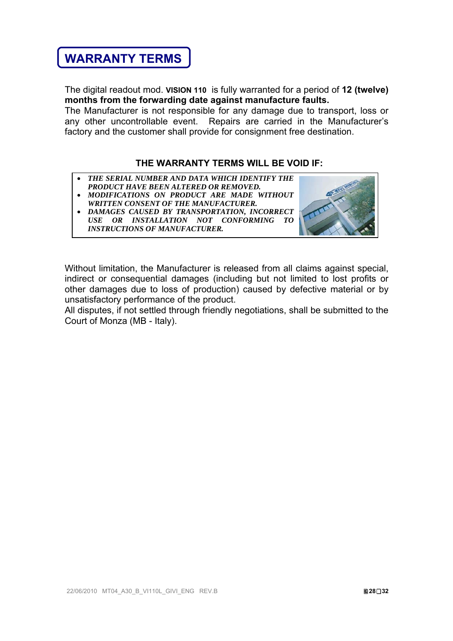## **WARRANTY TERMS**

The digital readout mod. **VISION 110** is fully warranted for a period of **12 (twelve) months from the forwarding date against manufacture faults.** 

The Manufacturer is not responsible for any damage due to transport, loss or any other uncontrollable event. Repairs are carried in the Manufacturer's factory and the customer shall provide for consignment free destination.

### **THE WARRANTY TERMS WILL BE VOID IF:**

- *THE SERIAL NUMBER AND DATA WHICH IDENTIFY THE*
- *PRODUCT HAVE BEEN ALTERED OR REMOVED. MODIFICATIONS ON PRODUCT ARE MADE WITHOUT WRITTEN CONSENT OF THE MANUFACTURER.*
- *DAMAGES CAUSED BY TRANSPORTATION, INCORRECT USE OR INSTALLATION NOT CONFORMING TO INSTRUCTIONS OF MANUFACTURER.*



Without limitation, the Manufacturer is released from all claims against special, indirect or consequential damages (including but not limited to lost profits or other damages due to loss of production) caused by defective material or by unsatisfactory performance of the product.

All disputes, if not settled through friendly negotiations, shall be submitted to the Court of Monza (MB - Italy).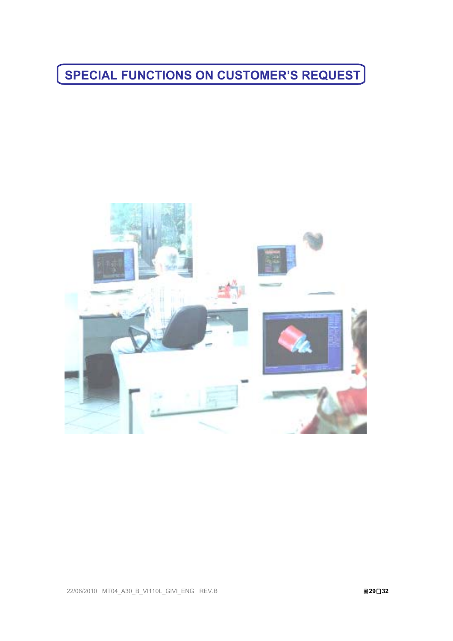**SPECIAL FUNCTIONS ON CUSTOMER'S REQUEST**